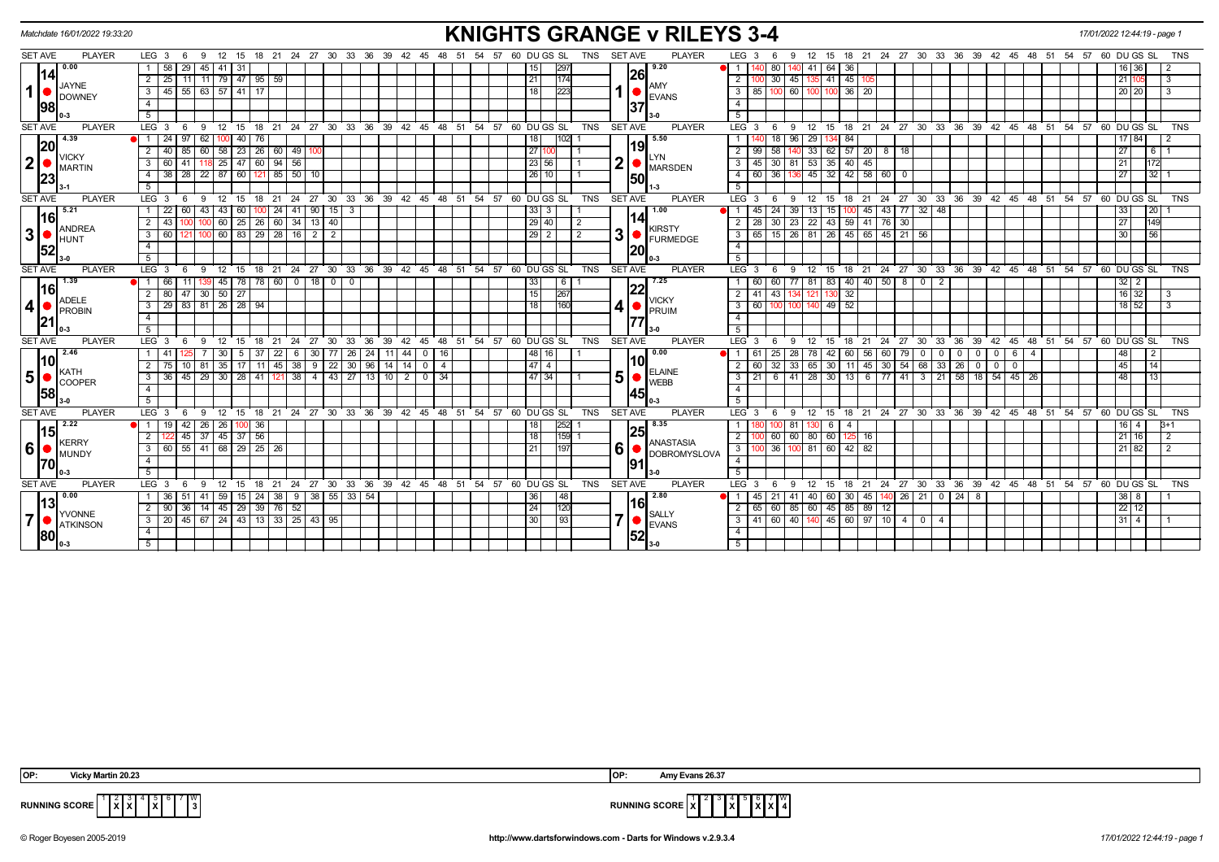| Matchdate 16/01/2022 19:33:20                                                             | <b>KNIGHTS GRANGE v RILEYS 3-4</b><br>17/01/2022 12:44:19 - page 1                                                                  |                                                                                |                                                                                                                                        |                                          |  |  |  |  |  |  |  |
|-------------------------------------------------------------------------------------------|-------------------------------------------------------------------------------------------------------------------------------------|--------------------------------------------------------------------------------|----------------------------------------------------------------------------------------------------------------------------------------|------------------------------------------|--|--|--|--|--|--|--|
| <b>SET AVE</b><br><b>PLAYER</b>                                                           | LEG <sub>3</sub><br>18 21 24 27 30 33 36 39 42 45<br>12<br>-9<br>- 15                                                               | <b>PLAYER</b><br><b>SET AVE</b><br>48 51<br>57<br>60 DU GS SL<br>TNS<br>-54    | LEG <sub>3</sub><br>15 18 21 24 27 30 33 36 39 42 45 48 51 54<br>$12 \overline{ }$                                                     | 57 60 DU GS SL<br><b>TNS</b>             |  |  |  |  |  |  |  |
| 0.00<br> 14 <br><b>JAYNE</b><br>$\mathbf{1}$<br><b>DOWNEY</b><br> 98                      | 58<br>$45 \mid 41$<br>29<br>-31                                                                                                     | 9.20<br>297                                                                    | 64 36<br>80<br>41                                                                                                                      | 16   36                                  |  |  |  |  |  |  |  |
|                                                                                           | 11   79   47   95   59  <br>$\overline{2}$<br>25                                                                                    | 26<br>174<br>21                                                                | 41 45<br>2 <sup>1</sup><br>30<br>45                                                                                                    | 21<br>3                                  |  |  |  |  |  |  |  |
|                                                                                           | 45 55 63 57 41 17<br>$\overline{3}$                                                                                                 | AMY<br>1223                                                                    | $3 \mid 85$<br>$36 \mid 20$<br>60 100<br>100 <sup>1</sup><br>100                                                                       | 20 20<br>3                               |  |  |  |  |  |  |  |
|                                                                                           | $\overline{4}$                                                                                                                      | <b>EVANS</b>                                                                   | $\overline{4}$                                                                                                                         |                                          |  |  |  |  |  |  |  |
|                                                                                           | 5                                                                                                                                   | 37                                                                             | 5                                                                                                                                      |                                          |  |  |  |  |  |  |  |
| <b>SET AVE</b><br><b>PLAYER</b>                                                           | 24 27 30 33 36 39 42 45 48 51 54 57 60 DUGS SL<br>LEG <sup>3</sup><br>12<br>18<br>$^{\circ}$ 21<br>9<br>15<br>- 6                   | <b>PLAYER</b><br>TNS<br><b>SET AVE</b>                                         | 21 24 27 30 33 36 39 42 45 48 51 54 57 60 DUGS SL<br><b>LEG</b><br>9<br>12<br>15<br>18<br>-6                                           | <b>TNS</b>                               |  |  |  |  |  |  |  |
| 14.39<br> 20 <br><b>VICKY</b><br>$\begin{bmatrix} 2 \\ 23 \end{bmatrix}$<br><b>MARTIN</b> | 24<br>62<br>40<br>76                                                                                                                | 5.50                                                                           | 29<br>84                                                                                                                               | 7 84                                     |  |  |  |  |  |  |  |
|                                                                                           | 58 23 26 60 49<br>60<br>$\overline{2}$<br>40<br>85<br>100                                                                           | 19<br>2711<br>LYN                                                              | $62$ 57 20 8 18<br>$2$ T<br>58<br> 33 <br>99                                                                                           | 27<br><b>6</b> 1                         |  |  |  |  |  |  |  |
|                                                                                           | 47   60<br>$94$ 56<br>3<br>60<br>25                                                                                                 | 2<br>23 56<br><b>MARSDEN</b>                                                   | 35<br>40<br>30<br>45<br>3<br>53<br>45                                                                                                  | 21<br>172                                |  |  |  |  |  |  |  |
|                                                                                           | $22 \ 87 \ 60 \ 121 \ 85 \ 50 \ 10$<br>38 28<br>$\overline{4}$                                                                      | 26 10 <br><b>50</b>                                                            | $32 \mid 42 \mid 58 \mid 60 \mid$<br>36<br>4 I<br>60<br>136 45<br>- 0                                                                  | 27<br>$\overline{32}$ 1                  |  |  |  |  |  |  |  |
|                                                                                           | -5                                                                                                                                  |                                                                                | 5                                                                                                                                      |                                          |  |  |  |  |  |  |  |
| <b>SET AVE</b><br><b>PLAYER</b>                                                           | LEG <sub>3</sub><br>30<br>33<br>36 39<br>$42 \quad 45$<br>48<br>12<br>- 15<br>18<br>21<br>24 27<br>- 6<br>9                         | <b>PLAYER</b><br>51<br>54<br>57<br>60 DU GS SL<br><b>SET AVE</b><br><b>TNS</b> | LEG <sub>3</sub><br>24 27<br>30 33<br>36 39 42 45<br>$\mathbf{q}$<br>12<br>15<br>-21<br>6<br>18                                        | 48 51 54<br>57<br>60 DU GS SL<br>TNS     |  |  |  |  |  |  |  |
| 5.21                                                                                      | 43<br>15 <sup>1</sup><br>22<br>43<br>24 41<br>90 <sub>1</sub><br>60<br>60<br>  3                                                    | 1.00<br>33   3                                                                 | 15 <sup>1</sup><br>43   77   32   48<br>24<br>39<br>13<br>45<br>45                                                                     | 33<br><b>20</b>                          |  |  |  |  |  |  |  |
| <b>16</b>                                                                                 | 60 34<br>$\overline{2}$<br>60<br>25<br>26<br>13<br>40                                                                               | l 14 I<br>29 40<br>2<br><b>KIRSTY</b>                                          | 43<br>76<br>$\overline{2}$<br>30<br>23<br>$\overline{22}$<br>59<br>  41  <br>30                                                        | 27<br>149                                |  |  |  |  |  |  |  |
| ANDREA<br>$\mathbf{3}$<br>HUNT<br>52                                                      | 60   83   29   28   16   2  <br>3<br>$\overline{2}$<br>60                                                                           | 3<br>$29$   2<br>$\overline{2}$<br><b>FURMEDGE</b>                             | 15 26 81<br>26 45 65 45 21 56<br>3 I<br>65                                                                                             | 56<br>30                                 |  |  |  |  |  |  |  |
|                                                                                           | $\overline{4}$                                                                                                                      | 20                                                                             | $\overline{4}$                                                                                                                         |                                          |  |  |  |  |  |  |  |
|                                                                                           | 5                                                                                                                                   |                                                                                | 5                                                                                                                                      |                                          |  |  |  |  |  |  |  |
| <b>SET AVE</b><br><b>PLAYER</b>                                                           | 21 24 27 30 33 36 39 42 45 48 51 54 57 60 DUGS SL<br>LEG <sup>3</sup><br>$12 \quad 15$<br>18<br>- 6<br>9                            | SET AVE<br>TNS<br><b>PLAYER</b>                                                | 15 18 21 24 27 30 33 36 39 42 45 48 51 54 57 60 DUGS SL<br>LEG <sub>3</sub><br>$^{\circ}$ 12<br>9<br>6                                 | TNS                                      |  |  |  |  |  |  |  |
| 1.39                                                                                      | 45   78   78   60   0   18  <br>$\overline{0}$<br>$\overline{1}$<br>66<br>$\overline{0}$                                            | 7.25<br>- 6                                                                    | 83   40   40   50   8   02<br>60<br>77   81                                                                                            | 32<br>2                                  |  |  |  |  |  |  |  |
| <b>16</b><br><b>ADELE</b>                                                                 | 30   50   27<br>80<br>47                                                                                                            | 15<br>267<br><b>VICKY</b>                                                      | $\overline{2}$<br>43<br>32<br>130                                                                                                      | 16<br>32<br>3                            |  |  |  |  |  |  |  |
| 4 <br>PROBIN                                                                              | 81 26 28 94<br>29 83<br>$\mathbf{3}$                                                                                                | 160<br><b>PRUIM</b>                                                            | 49<br>$3 \mid 60$<br>52<br>100<br>100 140                                                                                              | $18$ 52                                  |  |  |  |  |  |  |  |
| 21                                                                                        | $\overline{4}$                                                                                                                      |                                                                                | $\overline{4}$                                                                                                                         |                                          |  |  |  |  |  |  |  |
|                                                                                           | 5                                                                                                                                   |                                                                                | 5 <sup>5</sup>                                                                                                                         |                                          |  |  |  |  |  |  |  |
| <b>SET AVE</b><br><b>PLAYER</b>                                                           | LEG <sub>3</sub><br>39<br>12<br>18<br>24 27<br>30<br>33<br>36<br>$42 \quad 45$<br>48<br>9<br>15<br>21<br>- 6                        | 51 54 57 60 DUGS SL<br>TNS<br><b>SET AVE</b><br><b>PLAYER</b>                  | LEG <sub>3</sub><br>$36^\circ$<br>9<br>12<br>15<br>24<br>$^{\circ}$ 27<br>ີ 30<br>33<br>39 42<br>$6^{\circ}$<br>18<br>21               | 45 48 51 54 57 60 DU GS SL<br><b>TNS</b> |  |  |  |  |  |  |  |
| 12.46                                                                                     | 24<br>44<br>37<br>$22 \mid$<br>30<br>77<br><b>26</b><br>-11<br>16                                                                   | 0.00                                                                           | 25<br>42<br>60<br>60<br>56<br>79  <br>$\mathbf{0}$<br>$\mathbf 0$<br>0<br>6                                                            | 48<br>$\overline{2}$                     |  |  |  |  |  |  |  |
| $\vert$ 10 $\vert$<br>KATH                                                                | $\overline{22}$<br>30   96   14<br>2<br>35   17  <br>45   38  <br>9<br>1404<br>81<br>- 11 I<br>10                                   | l10l<br>$\boxed{47}$ 4<br><b>ELAINE</b>                                        | 32<br>$\overline{2}$<br>30<br>30<br>$54 \mid 68 \mid 33 \mid 26$<br>33   65<br>45<br>$\overline{0}$<br>60<br>- 11  <br>- 0<br>$\Omega$ | 45<br>$\boxed{14}$                       |  |  |  |  |  |  |  |
| $\overline{\phantom{a}}$ 5 $\overline{\phantom{a}}$<br><b>COOPER</b>                      | 29<br>$30 \mid 28 \mid$<br>43<br>3<br>36<br>41<br>38<br>$\overline{4}$<br>27<br>13<br>10<br>-34<br>45<br>2 <sup>1</sup><br>$\Omega$ | 5 <sup>1</sup><br>47   34<br><b>WEBB</b>                                       | 58<br>41<br>30<br>$\overline{77}$<br>$\mathbf{3}$<br>6<br>28<br>41<br>21<br>54<br>45<br>-13<br>6<br>-3<br>18<br>-26                    | 48<br>13                                 |  |  |  |  |  |  |  |
| 58                                                                                        | $\overline{4}$                                                                                                                      | 145                                                                            | $\overline{4}$                                                                                                                         |                                          |  |  |  |  |  |  |  |
|                                                                                           | 5                                                                                                                                   |                                                                                | 5                                                                                                                                      |                                          |  |  |  |  |  |  |  |
| <b>SET AVE</b><br><b>PLAYER</b>                                                           | LEG <sub>3</sub><br>12 15 18 21 24 27 30 33 36 39<br>42 45 48<br>9<br>- 6                                                           | <b>SET AVE</b><br><b>PLAYER</b><br>51 54<br>57<br>60 DU GS SL<br><b>TNS</b>    | LEG <sup>3</sup><br>15 18 21 24 27 30 33 36 39 42 45 48 51 54<br>-6<br>-9<br>12                                                        | 57 60 DU GS SL<br><b>TNS</b>             |  |  |  |  |  |  |  |
| 2.22                                                                                      | 26   26  <br>$\overline{1}$<br>19<br>-42<br>00 36                                                                                   | 8.35<br>252                                                                    | 81<br>6<br>-4                                                                                                                          | $B+1$                                    |  |  |  |  |  |  |  |
| 15<br>KERRY<br>6<br>MUNDY<br><b>170</b>                                                   | $37 \overline{)56}$<br>37<br>45<br>$\overline{2}$<br>45                                                                             | 125<br>159<br>  18  <br><b>ANASTASIA</b>                                       | 60<br>60<br>60<br>80<br>$\overline{2}$<br>16                                                                                           | 21<br>16<br>2                            |  |  |  |  |  |  |  |
|                                                                                           | 60 55 41 68 29 25 26<br>3                                                                                                           | 6<br>1197<br><b>DOBROMYSLOVA</b>                                               | 36<br>100 81 60 42 82<br>3 <sup>1</sup>                                                                                                | 21 82<br>2                               |  |  |  |  |  |  |  |
|                                                                                           | $\overline{4}$                                                                                                                      | 191                                                                            | $\overline{4}$                                                                                                                         |                                          |  |  |  |  |  |  |  |
|                                                                                           | 5                                                                                                                                   |                                                                                | 5                                                                                                                                      |                                          |  |  |  |  |  |  |  |
| <b>SET AVE</b><br><b>PLAYER</b>                                                           | LEG <sub>3</sub><br>12<br>18<br>21 24 27 30 33 36 39 42 45 48 51 54<br>- 15                                                         | 57 60 DU GS SL<br><b>TNS</b><br><b>SET AVE</b><br><b>PLAYER</b>                | LEG 3<br>18 21 24 27 30 33 36 39 42 45 48 51 54 57 60 DUGS SL<br>12<br>15<br>6<br>-9                                                   | <b>TNS</b>                               |  |  |  |  |  |  |  |
| 0.00<br>13<br>YVONNE<br>$\overline{7}$<br><b>ATKINSON</b><br><b>80</b>                    | 38 I<br>55<br>$33 \mid 54$<br>59<br>15   24<br>38 9<br>-36                                                                          | 2.80                                                                           | 24<br>60<br>30<br>45<br>26   21  <br>$\mathbf{0}$<br>21<br>40                                                                          | 38<br>8                                  |  |  |  |  |  |  |  |
|                                                                                           | 14   45   29   39   76   52<br>$\overline{2}$<br>90<br>36                                                                           | 16 <br>120<br>24<br><b>SALLY</b>                                               | 60<br>45   85   89  <br>2 I<br>85 60<br>12                                                                                             | 22<br>12                                 |  |  |  |  |  |  |  |
|                                                                                           | 20 45 67 24 43 13 33 25 43 95<br>$\overline{3}$                                                                                     | ⇁<br>$\sqrt{93}$<br>30<br><b>EVANS</b>                                         | $3   41   60   40   140   45   60   97   10   4   0   4$                                                                               | $31 \mid 4 \mid$                         |  |  |  |  |  |  |  |
|                                                                                           | $\overline{4}$                                                                                                                      | 52                                                                             | $\overline{4}$                                                                                                                         |                                          |  |  |  |  |  |  |  |
|                                                                                           | 5                                                                                                                                   |                                                                                | 5 <sup>1</sup>                                                                                                                         |                                          |  |  |  |  |  |  |  |

 5 **X**  $\begin{bmatrix} 7 & w \\ 3 & 3 \end{bmatrix}$ 



© Roger Boyesen 2005-2019 **http://www.dartsforwindows.com - Darts for Windows v.2.9.3.4** *17/01/2022 12:44:19 - page 1*